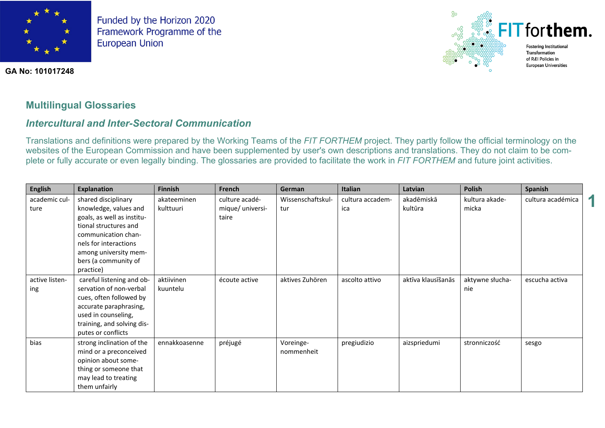



#### **GA No: 101017248**

## **Multilingual Glossaries**

# *Intercultural and Inter-Sectoral Communication*

Translations and definitions were prepared by the Working Teams of the *FIT FORTHEM* project. They partly follow the official terminology on the websites of the European Commission and have been supplemented by user's own descriptions and translations. They do not claim to be complete or fully accurate or even legally binding. The glossaries are provided to facilitate the work in *FIT FORTHEM* and future joint activities.

| <b>English</b>        | <b>Explanation</b>                                                                                                                                                                                                | Finnish                  | French                                      | German                   | Italian                 | Latvian               | <b>Polish</b>           | Spanish           |  |
|-----------------------|-------------------------------------------------------------------------------------------------------------------------------------------------------------------------------------------------------------------|--------------------------|---------------------------------------------|--------------------------|-------------------------|-----------------------|-------------------------|-------------------|--|
| academic cul-<br>ture | shared disciplinary<br>knowledge, values and<br>goals, as well as institu-<br>tional structures and<br>communication chan-<br>nels for interactions<br>among university mem-<br>bers (a community of<br>practice) | akateeminen<br>kulttuuri | culture acadé-<br>mique/ universi-<br>taire | Wissenschaftskul-<br>tur | cultura accadem-<br>ica | akadēmiskā<br>kultūra | kultura akade-<br>micka | cultura académica |  |
| active listen-<br>ing | careful listening and ob-<br>servation of non-verbal<br>cues, often followed by<br>accurate paraphrasing,<br>used in counseling,<br>training, and solving dis-<br>putes or conflicts                              | aktiivinen<br>kuuntelu   | écoute active                               | aktives Zuhören          | ascolto attivo          | aktīva klausīšanās    | aktywne słucha-<br>nie  | escucha activa    |  |
| bias                  | strong inclination of the<br>mind or a preconceived<br>opinion about some-<br>thing or someone that<br>may lead to treating<br>them unfairly                                                                      | ennakkoasenne            | préjugé                                     | Voreinge-<br>nommenheit  | pregiudizio             | aizspriedumi          | stronniczość            | sesgo             |  |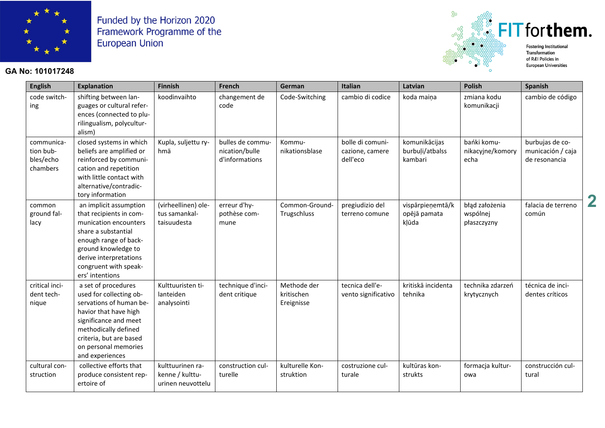

### **GA No: 101017248**



| <b>English</b>                                   | <b>Explanation</b>                                                                                                                                                                                                        | <b>Finnish</b>                                           | French                                               | German                                  | Italian                                         | Latvian                                     | <b>Polish</b>                             | <b>Spanish</b>                                        |  |
|--------------------------------------------------|---------------------------------------------------------------------------------------------------------------------------------------------------------------------------------------------------------------------------|----------------------------------------------------------|------------------------------------------------------|-----------------------------------------|-------------------------------------------------|---------------------------------------------|-------------------------------------------|-------------------------------------------------------|--|
| code switch-<br>ing                              | shifting between lan-<br>guages or cultural refer-<br>ences (connected to plu-<br>rilingualism, polycultur-<br>alism)                                                                                                     | koodinvaihto                                             | changement de<br>code                                | Code-Switching                          | cambio di codice                                | koda maina                                  | zmiana kodu<br>komunikacji                | cambio de código                                      |  |
| communica-<br>tion bub-<br>bles/echo<br>chambers | closed systems in which<br>beliefs are amplified or<br>reinforced by communi-<br>cation and repetition<br>with little contact with<br>alternative/contradic-<br>tory information                                          | Kupla, suljettu ry-<br>hmä                               | bulles de commu-<br>nication/bulle<br>d'informations | Kommu-<br>nikationsblase                | bolle di comuni-<br>cazione, camere<br>dell'eco | komunikācijas<br>burbuļi/atbalss<br>kambari | bańki komu-<br>nikacyjne/komory<br>echa   | burbujas de co-<br>municación / caja<br>de resonancia |  |
| common<br>ground fal-<br>lacy                    | an implicit assumption<br>that recipients in com-<br>munication encounters<br>share a substantial<br>enough range of back-<br>ground knowledge to<br>derive interpretations<br>congruent with speak-<br>ers' intentions   | (virheellinen) ole-<br>tus samankal-<br>taisuudesta      | erreur d'hy-<br>pothèse com-<br>mune                 | Common-Ground-<br>Trugschluss           | pregiudizio del<br>terreno comune               | vispārpieņemtā/k<br>opējā pamata<br>kļūda   | błąd założenia<br>wspólnej<br>płaszczyzny | falacia de terreno<br>común                           |  |
| critical inci-<br>dent tech-<br>nique            | a set of procedures<br>used for collecting ob-<br>servations of human be-<br>havior that have high<br>significance and meet<br>methodically defined<br>criteria, but are based<br>on personal memories<br>and experiences | Kulttuuristen ti-<br>lanteiden<br>analysointi            | technique d'inci-<br>dent critique                   | Methode der<br>kritischen<br>Ereignisse | tecnica dell'e-<br>vento significativo          | kritiskā incidenta<br>tehnika               | technika zdarzeń<br>krytycznych           | técnica de inci-<br>dentes críticos                   |  |
| cultural con-<br>struction                       | collective efforts that<br>produce consistent rep-<br>ertoire of                                                                                                                                                          | kulttuurinen ra-<br>kenne / kulttu-<br>urinen neuvottelu | construction cul-<br>turelle                         | kulturelle Kon-<br>struktion            | costruzione cul-<br>turale                      | kultūras kon-<br>strukts                    | formacja kultur-<br>owa                   | construcción cul-<br>tural                            |  |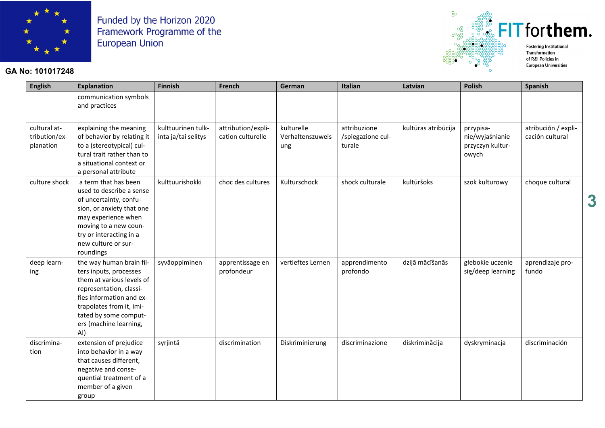

### **GA No: 101017248**



**3**

| <b>English</b>                             | <b>Explanation</b>                                                                                                                                                                                                           | <b>Finnish</b>                            | <b>French</b>                           | German                                | Italian                                     | Latvian             | <b>Polish</b>                                             | Spanish                                |
|--------------------------------------------|------------------------------------------------------------------------------------------------------------------------------------------------------------------------------------------------------------------------------|-------------------------------------------|-----------------------------------------|---------------------------------------|---------------------------------------------|---------------------|-----------------------------------------------------------|----------------------------------------|
|                                            | communication symbols<br>and practices                                                                                                                                                                                       |                                           |                                         |                                       |                                             |                     |                                                           |                                        |
| cultural at-<br>tribution/ex-<br>planation | explaining the meaning<br>of behavior by relating it<br>to a (stereotypical) cul-<br>tural trait rather than to<br>a situational context or<br>a personal attribute                                                          | kulttuurinen tulk-<br>inta ja/tai selitys | attribution/expli-<br>cation culturelle | kulturelle<br>Verhaltenszuweis<br>ung | attribuzione<br>/spiegazione cul-<br>turale | kultūras atribūcija | przypisa-<br>nie/wyjaśnianie<br>przyczyn kultur-<br>owych | atribución / expli-<br>cación cultural |
| culture shock                              | a term that has been<br>used to describe a sense<br>of uncertainty, confu-<br>sion, or anxiety that one<br>may experience when<br>moving to a new coun-<br>try or interacting in a<br>new culture or sur-<br>roundings       | kulttuurishokki                           | choc des cultures                       | Kulturschock                          | shock culturale                             | kultūršoks          | szok kulturowy                                            | choque cultural                        |
| deep learn-<br>ing                         | the way human brain fil-<br>ters inputs, processes<br>them at various levels of<br>representation, classi-<br>fies information and ex-<br>trapolates from it, imi-<br>tated by some comput-<br>ers (machine learning,<br>AI) | syväoppiminen                             | apprentissage en<br>profondeur          | vertieftes Lernen                     | apprendimento<br>profondo                   | dziļā mācīšanās     | głebokie uczenie<br>się/deep learning                     | aprendizaje pro-<br>fundo              |
| discrimina-<br>tion                        | extension of prejudice<br>into behavior in a way<br>that causes different,<br>negative and conse-<br>quential treatment of a<br>member of a given<br>group                                                                   | syrjintä                                  | discrimination                          | Diskriminierung                       | discriminazione                             | diskriminācija      | dyskryminacja                                             | discriminación                         |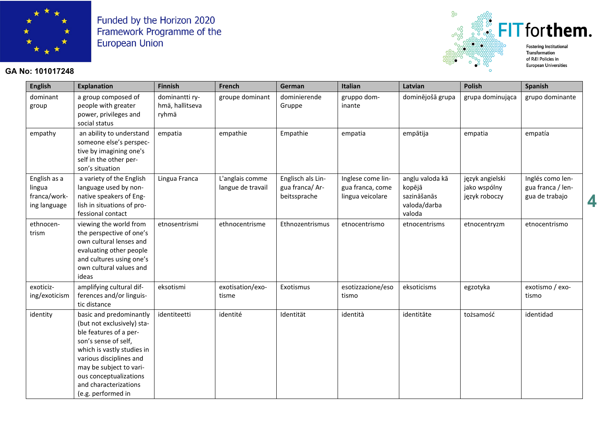

#### GA No: 101017248



4

**Finnish** French Italian Latvian **Polish** Spanish **English** Explanation German gruppo domdominējošā grupa dominant a group composed of dominantti rygroupe dominant dominierende grupa dominująca grupo dominante hmä, hallitseva people with greater Gruppe inante group power, privileges and ryhmä social status empathy an ability to understand empatia empathie Empathie empātija empatia empatía empatia someone else's perspective by imagining one's self in the other person's situation English as a a variety of the English Lingua Franca L'anglais comme Englisch als Lin-Inglese come linangļu valoda kā język angielski Inglés como lenlingua language used by nonlangue de travail gua franca/Argua franca, come kopējā jako wspólny gua franca / lenfranca/worknative speakers of Engbeitssprache lingua veicolare sazināšanās język roboczy gua de trabajo ing language lish in situations of provaloda/darba fessional contact valoda ethnocenviewing the world from etnosentrismi ethnocentrisme **Ethnozentrismus** etnocentrismo etnocentrisms etnocentryzm etnocentrismo trism the perspective of one's own cultural lenses and evaluating other people and cultures using one's own cultural values and ideas exoticizamplifying cultural difeksotismi esotizzazione/eso eksoticisms exotismo / exoexotisation/exo-Exotismus egzotyka ing/exoticism ferences and/or linguistisme tismo tismo tic distance basic and predominantly tożsamość identity identiteetti identité Identität identità identitāte identidad (but not exclusively) stable features of a person's sense of self. which is vastly studies in various disciplines and may be subject to various conceptualizations and characterizations (e.g. performed in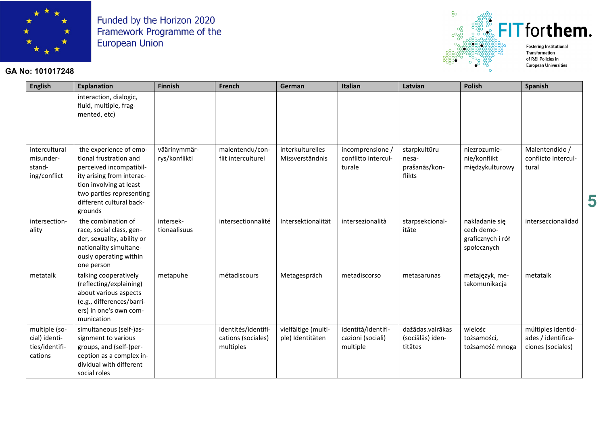

### GA No: 101017248



| <b>English</b>                                              | <b>Explanation</b>                                                                                                                                                                                     | <b>Finnish</b>                | French                                                 | German                                  | <b>Italian</b>                                      | Latvian                                          | <b>Polish</b>                                                    | <b>Spanish</b>                                                |   |
|-------------------------------------------------------------|--------------------------------------------------------------------------------------------------------------------------------------------------------------------------------------------------------|-------------------------------|--------------------------------------------------------|-----------------------------------------|-----------------------------------------------------|--------------------------------------------------|------------------------------------------------------------------|---------------------------------------------------------------|---|
|                                                             | interaction, dialogic,<br>fluid, multiple, frag-<br>mented, etc)                                                                                                                                       |                               |                                                        |                                         |                                                     |                                                  |                                                                  |                                                               |   |
| intercultural<br>misunder-<br>stand-<br>ing/conflict        | the experience of emo-<br>tional frustration and<br>perceived incompatibil-<br>ity arising from interac-<br>tion involving at least<br>two parties representing<br>different cultural back-<br>grounds | väärinymmär-<br>rys/konflikti | malentendu/con-<br>flit interculturel                  | interkulturelles<br>Missverständnis     | incomprensione,<br>conflitto intercul-<br>turale    | starpkultūru<br>nesa-<br>prašanās/kon-<br>flikts | niezrozumie-<br>nie/konflikt<br>międzykulturowy                  | Malentendido /<br>conflicto intercul-<br>tural                | 5 |
| intersection-<br>ality                                      | the combination of<br>race, social class, gen-<br>der, sexuality, ability or<br>nationality simultane-<br>ously operating within<br>one person                                                         | intersek-<br>tionaalisuus     | intersectionnalité                                     | Intersektionalität                      | intersezionalità                                    | starpsekcional-<br>itāte                         | nakładanie się<br>cech demo-<br>graficznych i rół<br>społecznych | interseccionalidad                                            |   |
| metatalk                                                    | talking cooperatively<br>(reflecting/explaining)<br>about various aspects<br>(e.g., differences/barri-<br>ers) in one's own com-<br>munication                                                         | metapuhe                      | métadiscours                                           | Metagespräch                            | metadiscorso                                        | metasarunas                                      | metajęzyk, me-<br>takomunikacja                                  | metatalk                                                      |   |
| multiple (so-<br>cial) identi-<br>ties/identifi-<br>cations | simultaneous (self-)as-<br>signment to various<br>groups, and (self-)per-<br>ception as a complex in-<br>dividual with different<br>social roles                                                       |                               | identités/identifi-<br>cations (sociales)<br>multiples | vielfältige (multi-<br>ple) Identitäten | identità/identifi-<br>cazioni (sociali)<br>multiple | dažādas.vairākas<br>(sociālās) iden-<br>titātes  | wielośc<br>tożsamości,<br>tożsamość mnoga                        | múltiples identid-<br>ades / identifica-<br>ciones (sociales) |   |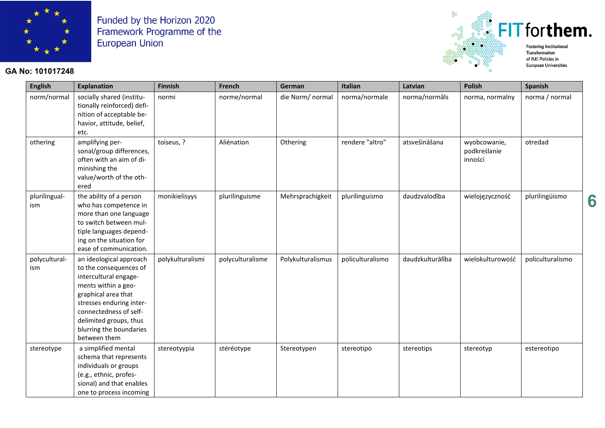

### **GA No: 101017248**



**European Universities** 

**6**

| <b>English</b>       | <b>Explanation</b>                                                                                                                                                                                                                                  | Finnish          | French           | German            | Italian          | Latvian          | <b>Polish</b>                           | <b>Spanish</b>   |
|----------------------|-----------------------------------------------------------------------------------------------------------------------------------------------------------------------------------------------------------------------------------------------------|------------------|------------------|-------------------|------------------|------------------|-----------------------------------------|------------------|
| norm/normal          | socially shared (institu-<br>tionally reinforced) defi-<br>nition of acceptable be-<br>havior, attitude, belief,<br>etc.                                                                                                                            | normi            | norme/normal     | die Norm/ normal  | norma/normale    | norma/normāls    | norma, normalny                         | norma / normal   |
| othering             | amplifying per-<br>sonal/group differences,<br>often with an aim of di-<br>minishing the<br>value/worth of the oth-<br>ered                                                                                                                         | toiseus, ?       | Aliénation       | Othering          | rendere "altro"  | atsvešināšana    | wyobcowanie,<br>podkreślanie<br>inności | otredad          |
| plurilingual-<br>ism | the ability of a person<br>who has competence in<br>more than one language<br>to switch between mul-<br>tiple languages depend-<br>ing on the situation for<br>ease of communication.                                                               | monikielisyys    | plurilinguisme   | Mehrsprachigkeit  | plurilinguismo   | daudzvalodība    | wielojęzyczność                         | plurilingüismo   |
| polycultural-<br>ism | an ideological approach<br>to the consequences of<br>intercultural engage-<br>ments within a geo-<br>graphical area that<br>stresses enduring inter-<br>connectedness of self-<br>delimited groups, thus<br>blurring the boundaries<br>between them | polykulturalismi | polyculturalisme | Polykulturalismus | policulturalismo | daudzkulturālība | wielokulturowość                        | policulturalismo |
| stereotype           | a simplified mental<br>schema that represents<br>individuals or groups<br>(e.g., ethnic, profes-<br>sional) and that enables<br>one to process incoming                                                                                             | stereotyypia     | stéréotype       | Stereotypen       | stereotipo       | stereotips       | stereotyp                               | estereotipo      |